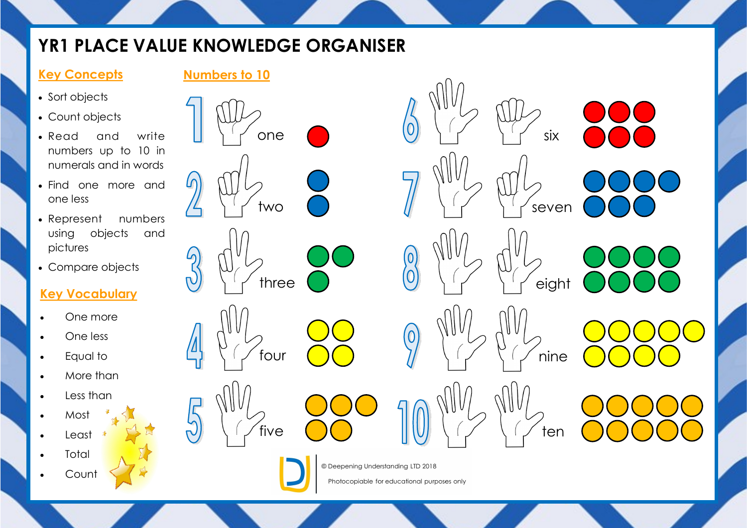# **YR1 PLACE VALUE KNOWLEDGE ORGANISER**

#### **Key Concepts**

- Sort objects
- Count objects
- Read and write numbers up to 10 in numerals and in words
- Find one more and one less
- Represent numbers using objects and pictures
- Compare objects

### **Key Vocabulary**

- One more
- One less
- Equal to
- More than
- Less than
- Most
- Least
- **Total**
- **Count**